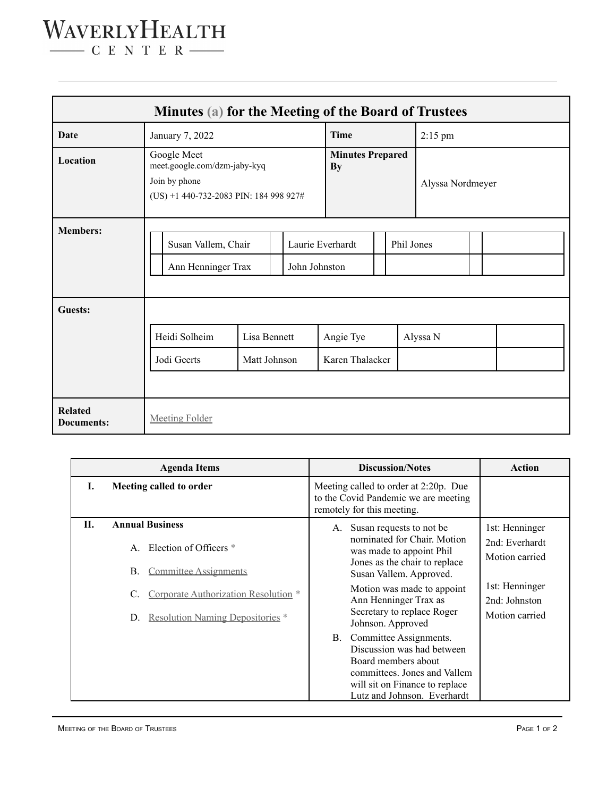## WAVERLYHEALTH

 $\begin{tabular}{c} \quad \quad \textbf{C} \quad E \quad N \quad T \quad E \quad R \end{tabular}$ 

|                              | Minutes (a) for the Meeting of the Board of Trustees                                                   |                              |  |                                      |                              |  |                  |           |  |  |  |  |
|------------------------------|--------------------------------------------------------------------------------------------------------|------------------------------|--|--------------------------------------|------------------------------|--|------------------|-----------|--|--|--|--|
| Date                         | January 7, 2022                                                                                        |                              |  |                                      | <b>Time</b>                  |  |                  | $2:15$ pm |  |  |  |  |
| <b>Location</b>              | Google Meet<br>meet.google.com/dzm-jaby-kyq<br>Join by phone<br>(US) +1 440-732-2083 PIN: 184 998 927# |                              |  | <b>Minutes Prepared</b><br><b>By</b> |                              |  | Alyssa Nordmeyer |           |  |  |  |  |
| <b>Members:</b><br>Guests:   | Susan Vallem, Chair<br>Ann Henninger Trax                                                              |                              |  | Laurie Everhardt<br>John Johnston    |                              |  | Phil Jones       |           |  |  |  |  |
|                              | Heidi Solheim<br>Jodi Geerts                                                                           | Lisa Bennett<br>Matt Johnson |  |                                      | Angie Tye<br>Karen Thalacker |  |                  | Alyssa N  |  |  |  |  |
|                              |                                                                                                        |                              |  |                                      |                              |  |                  |           |  |  |  |  |
| <b>Related</b><br>Documents: | <b>Meeting Folder</b>                                                                                  |                              |  |                                      |                              |  |                  |           |  |  |  |  |

|    | <b>Agenda Items</b>                                                                                                                                                                                 | <b>Discussion/Notes</b>                                                                                                                                                                                                                                          | Action                                                                                                  |
|----|-----------------------------------------------------------------------------------------------------------------------------------------------------------------------------------------------------|------------------------------------------------------------------------------------------------------------------------------------------------------------------------------------------------------------------------------------------------------------------|---------------------------------------------------------------------------------------------------------|
| L  | Meeting called to order                                                                                                                                                                             | Meeting called to order at 2:20p. Due<br>to the Covid Pandemic we are meeting<br>remotely for this meeting.                                                                                                                                                      |                                                                                                         |
| Н. | <b>Annual Business</b><br>A. Election of Officers *<br><b>Committee Assignments</b><br>Β.<br>Corporate Authorization Resolution <sup>*</sup><br>C.<br><b>Resolution Naming Depositories</b> *<br>D. | Susan requests to not be.<br>A.<br>nominated for Chair. Motion<br>was made to appoint Phil<br>Jones as the chair to replace<br>Susan Vallem. Approved.<br>Motion was made to appoint<br>Ann Henninger Trax as<br>Secretary to replace Roger<br>Johnson. Approved | 1st: Henninger<br>2nd: Everhardt<br>Motion carried<br>1st: Henninger<br>2nd: Johnston<br>Motion carried |
|    |                                                                                                                                                                                                     | Committee Assignments.<br><b>B.</b><br>Discussion was had between<br>Board members about<br>committees. Jones and Vallem<br>will sit on Finance to replace<br>Lutz and Johnson. Everhardt                                                                        |                                                                                                         |